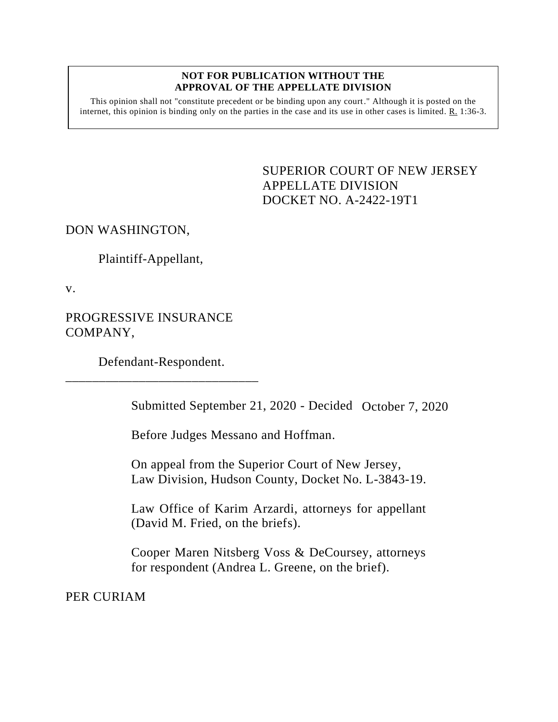## **NOT FOR PUBLICATION WITHOUT THE APPROVAL OF THE APPELLATE DIVISION**

This opinion shall not "constitute precedent or be binding upon any court." Although it is posted on the internet, this opinion is binding only on the parties in the case and its use in other cases is limited. R. 1:36-3.

> <span id="page-0-0"></span>SUPERIOR COURT OF NEW JERSEY APPELLATE DIVISION DOCKET NO. A-2422-19T1

DON WASHINGTON,

Plaintiff-Appellant,

v.

PROGRESSIVE INSURANCE COMPANY,

Defendant-Respondent. \_\_\_\_\_\_\_\_\_\_\_\_\_\_\_\_\_\_\_\_\_\_\_\_\_\_\_\_\_

Submitted September 21, 2020 - Decided October 7, 2020

Before Judges Messano and Hoffman.

On appeal from the Superior Court of New Jersey, Law Division, Hudson County, Docket No. L-3843-19.

Law Office of Karim Arzardi, attorneys for appellant (David M. Fried, on the briefs).

Cooper Maren Nitsberg Voss & DeCoursey, attorneys for respondent (Andrea L. Greene, on the brief).

PER CURIAM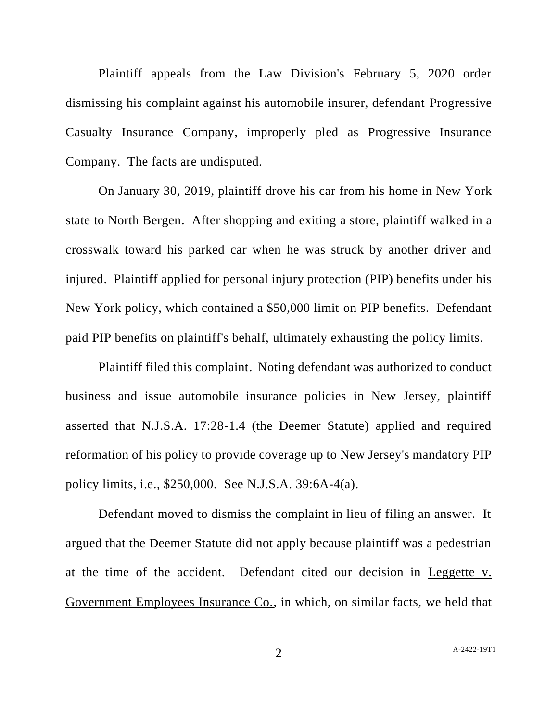Plaintiff appeals from the Law Division's February 5, 2020 order dismissing his complaint against his automobile insurer, defendant Progressive Casualty Insurance Company, improperly pled as Progressive Insurance Company. The facts are undisputed.

On January 30, 2019, plaintiff drove his car from his home in New York state to North Bergen. After shopping and exiting a store, plaintiff walked in a crosswalk toward his parked car when he was struck by another driver and injured. Plaintiff applied for personal injury protection (PIP) benefits under his New York policy, which contained a \$50,000 limit on PIP benefits. Defendant paid PIP benefits on plaintiff's behalf, ultimately exhausting the policy limits.

Plaintiff filed this complaint. Noting defendant was authorized to conduct business and issue automobile insurance policies in New Jersey, plaintiff asserted that N.J.S.A. 17:28-1.4 (the Deemer Statute) applied and required reformation of his policy to provide coverage up to New Jersey's mandatory PIP policy limits, i.e., \$250,000. See N.J.S.A. 39:6A-4(a).

Defendant moved to dismiss the complaint in lieu of filing an answer. It argued that the Deemer Statute did not apply because plaintiff was a pedestrian at the time of the accident. Defendant cited our decision in Leggette v. Government Employees Insurance Co., in which, on similar facts, we held that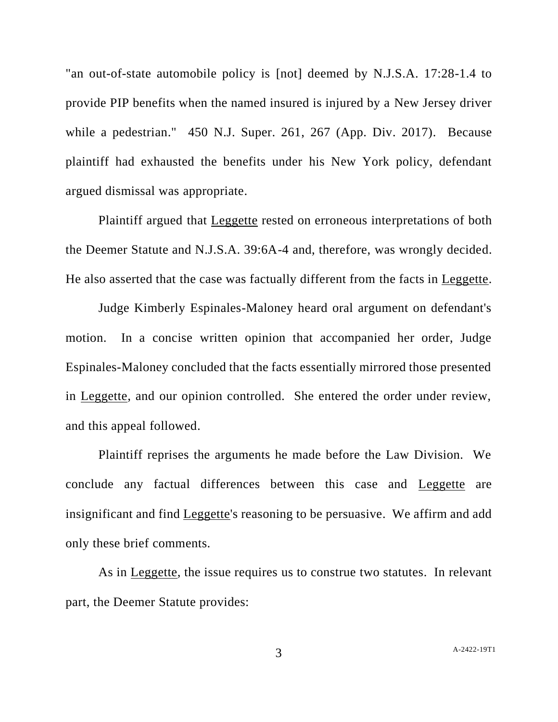"an out-of-state automobile policy is [not] deemed by N.J.S.A. 17:28-1.4 to provide PIP benefits when the named insured is injured by a New Jersey driver while a pedestrian." 450 N.J. Super. 261, 267 (App. Div. 2017). Because plaintiff had exhausted the benefits under his New York policy, defendant argued dismissal was appropriate.

Plaintiff argued that Leggette rested on erroneous interpretations of both the Deemer Statute and N.J.S.A. 39:6A-4 and, therefore, was wrongly decided. He also asserted that the case was factually different from the facts in Leggette.

Judge Kimberly Espinales-Maloney heard oral argument on defendant's motion. In a concise written opinion that accompanied her order, Judge Espinales-Maloney concluded that the facts essentially mirrored those presented in Leggette, and our opinion controlled. She entered the order under review, and this appeal followed.

Plaintiff reprises the arguments he made before the Law Division. We conclude any factual differences between this case and Leggette are insignificant and find Leggette's reasoning to be persuasive. We affirm and add only these brief comments.

As in Leggette, the issue requires us to construe two statutes. In relevant part, the Deemer Statute provides: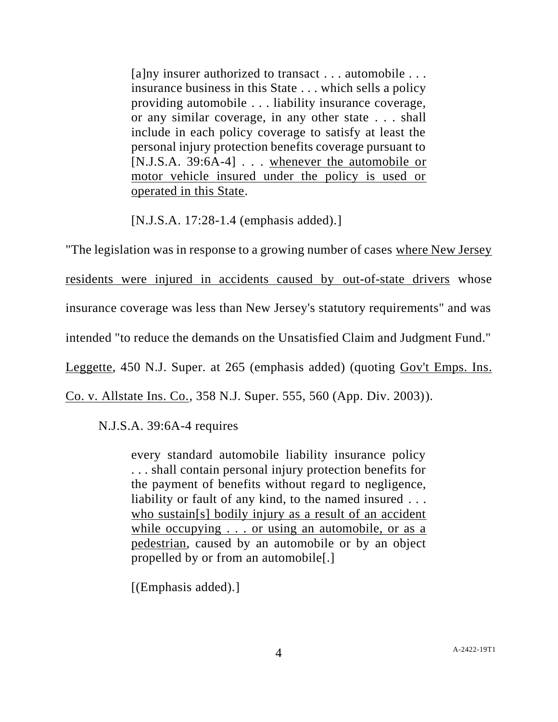[a]ny insurer authorized to transact . . . automobile . . . insurance business in this State . . . which sells a policy providing automobile . . . liability insurance coverage, or any similar coverage, in any other state . . . shall include in each policy coverage to satisfy at least the personal injury protection benefits coverage pursuant to [N.J.S.A. 39:6A-4]  $\ldots$  whenever the automobile or motor vehicle insured under the policy is used or operated in this State.

[N.J.S.A. 17:28-1.4 (emphasis added).]

"The legislation was in response to a growing number of cases where New Jersey residents were injured in accidents caused by out-of-state drivers whose insurance coverage was less than New Jersey's statutory requirements" and was intended "to reduce the demands on the Unsatisfied Claim and Judgment Fund." Leggette, 450 N.J. Super. at 265 (emphasis added) (quoting Gov't Emps. Ins. Co. v. Allstate Ins. Co., 358 N.J. Super. 555, 560 (App. Div. 2003)).

N.J.S.A. 39:6A-4 requires

every standard automobile liability insurance policy . . . shall contain personal injury protection benefits for the payment of benefits without regard to negligence, liability or fault of any kind, to the named insured ... who sustain[s] bodily injury as a result of an accident while occupying . . . or using an automobile, or as a pedestrian, caused by an automobile or by an object propelled by or from an automobile[.]

[(Emphasis added).]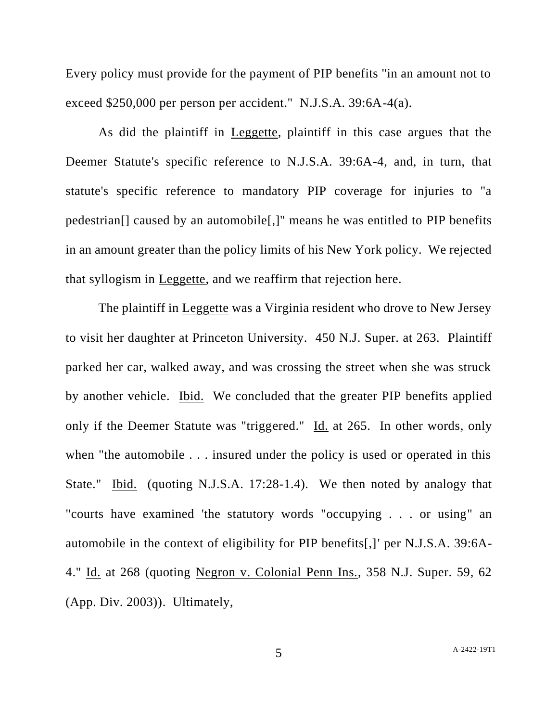Every policy must provide for the payment of PIP benefits "in an amount not to exceed \$250,000 per person per accident." N.J.S.A. 39:6A-4(a).

As did the plaintiff in Leggette, plaintiff in this case argues that the Deemer Statute's specific reference to N.J.S.A. 39:6A-4, and, in turn, that statute's specific reference to mandatory PIP coverage for injuries to "a pedestrian[] caused by an automobile[,]" means he was entitled to PIP benefits in an amount greater than the policy limits of his New York policy. We rejected that syllogism in Leggette, and we reaffirm that rejection here.

The plaintiff in Leggette was a Virginia resident who drove to New Jersey to visit her daughter at Princeton University. 450 N.J. Super. at 263. Plaintiff parked her car, walked away, and was crossing the street when she was struck by another vehicle. Ibid. We concluded that the greater PIP benefits applied only if the Deemer Statute was "triggered." Id. at 265. In other words, only when "the automobile . . . insured under the policy is used or operated in this State." Ibid. (quoting N.J.S.A. 17:28-1.4). We then noted by analogy that "courts have examined 'the statutory words "occupying . . . or using" an automobile in the context of eligibility for PIP benefits[,]' per N.J.S.A. 39:6A-4." Id. at 268 (quoting Negron v. Colonial Penn Ins., 358 N.J. Super. 59, 62 (App. Div. 2003)). Ultimately,

5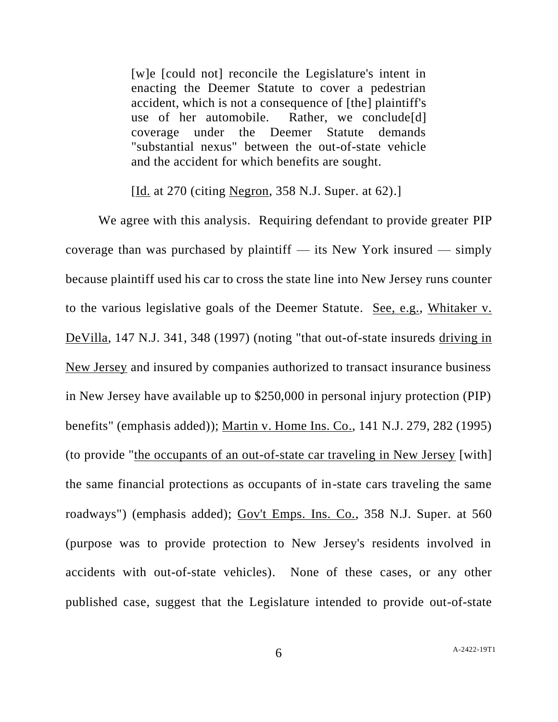[w]e [could not] reconcile the Legislature's intent in enacting the Deemer Statute to cover a pedestrian accident, which is not a consequence of [the] plaintiff's use of her automobile. Rather, we conclude[d] coverage under the Deemer Statute demands "substantial nexus" between the out-of-state vehicle and the accident for which benefits are sought.

[Id. at 270 (citing <u>Negron</u>, 358 N.J. Super. at 62).]

We agree with this analysis. Requiring defendant to provide greater PIP coverage than was purchased by plaintiff — its New York insured — simply because plaintiff used his car to cross the state line into New Jersey runs counter to the various legislative goals of the Deemer Statute. See, e.g., Whitaker v. DeVilla, 147 N.J. 341, 348 (1997) (noting "that out-of-state insureds driving in New Jersey and insured by companies authorized to transact insurance business in New Jersey have available up to \$250,000 in personal injury protection (PIP) benefits" (emphasis added)); Martin v. Home Ins. Co., 141 N.J. 279, 282 (1995) (to provide "the occupants of an out-of-state car traveling in New Jersey [with] the same financial protections as occupants of in-state cars traveling the same roadways") (emphasis added); Gov't Emps. Ins. Co., 358 N.J. Super. at 560 (purpose was to provide protection to New Jersey's residents involved in accidents with out-of-state vehicles). None of these cases, or any other published case, suggest that the Legislature intended to provide out-of-state